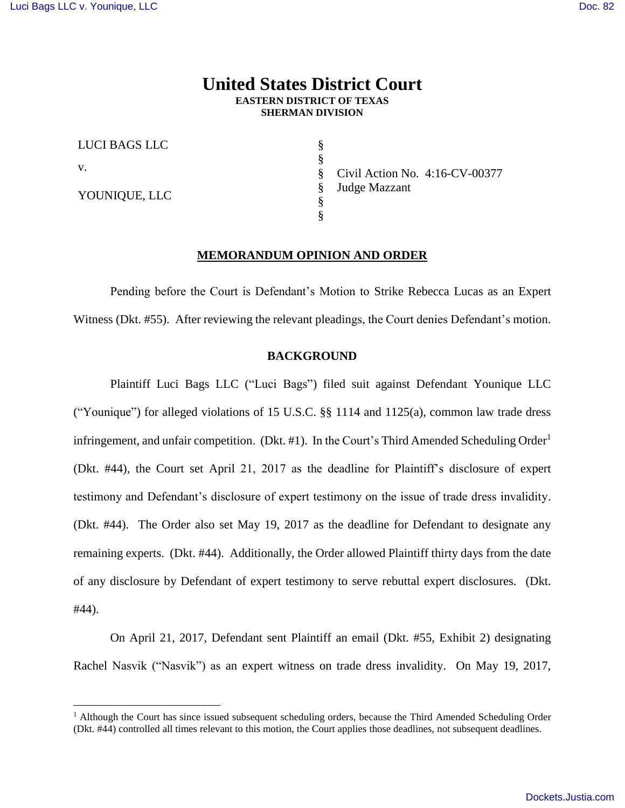# **United States District Court EASTERN DISTRICT OF TEXAS SHERMAN DIVISION**

§ § § § § §

LUCI BAGS LLC

v.

 $\overline{a}$ 

YOUNIQUE, LLC

Civil Action No. 4:16-CV-00377 Judge Mazzant

# **MEMORANDUM OPINION AND ORDER**

Pending before the Court is Defendant's Motion to Strike Rebecca Lucas as an Expert Witness (Dkt. #55). After reviewing the relevant pleadings, the Court denies Defendant's motion.

# **BACKGROUND**

Plaintiff Luci Bags LLC ("Luci Bags") filed suit against Defendant Younique LLC ("Younique") for alleged violations of 15 U.S.C.  $\S$  1114 and 1125(a), common law trade dress infringement, and unfair competition. (Dkt. #1). In the Court's Third Amended Scheduling Order<sup>1</sup> (Dkt. #44), the Court set April 21, 2017 as the deadline for Plaintiff's disclosure of expert testimony and Defendant's disclosure of expert testimony on the issue of trade dress invalidity. (Dkt. #44). The Order also set May 19, 2017 as the deadline for Defendant to designate any remaining experts. (Dkt. #44). Additionally, the Order allowed Plaintiff thirty days from the date of any disclosure by Defendant of expert testimony to serve rebuttal expert disclosures. (Dkt. #44).

On April 21, 2017, Defendant sent Plaintiff an email (Dkt. #55, Exhibit 2) designating Rachel Nasvik ("Nasvik") as an expert witness on trade dress invalidity. On May 19, 2017,

<sup>&</sup>lt;sup>1</sup> Although the Court has since issued subsequent scheduling orders, because the Third Amended Scheduling Order (Dkt. #44) controlled all times relevant to this motion, the Court applies those deadlines, not subsequent deadlines.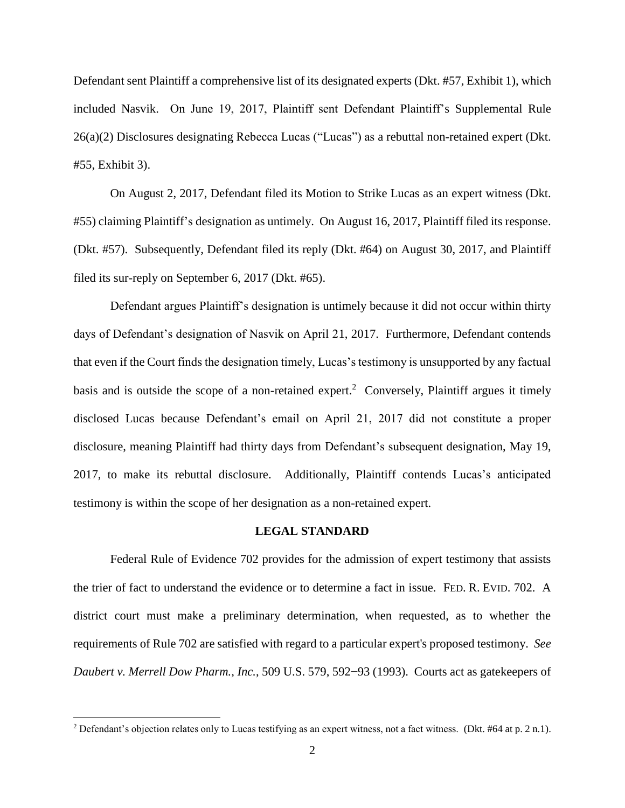Defendant sent Plaintiff a comprehensive list of its designated experts (Dkt. #57, Exhibit 1), which included Nasvik. On June 19, 2017, Plaintiff sent Defendant Plaintiff's Supplemental Rule 26(a)(2) Disclosures designating Rebecca Lucas ("Lucas") as a rebuttal non-retained expert (Dkt. #55, Exhibit 3).

On August 2, 2017, Defendant filed its Motion to Strike Lucas as an expert witness (Dkt. #55) claiming Plaintiff's designation as untimely. On August 16, 2017, Plaintiff filed its response. (Dkt. #57). Subsequently, Defendant filed its reply (Dkt. #64) on August 30, 2017, and Plaintiff filed its sur-reply on September 6, 2017 (Dkt. #65).

Defendant argues Plaintiff's designation is untimely because it did not occur within thirty days of Defendant's designation of Nasvik on April 21, 2017. Furthermore, Defendant contends that even if the Court finds the designation timely, Lucas's testimony is unsupported by any factual basis and is outside the scope of a non-retained expert.<sup>2</sup> Conversely, Plaintiff argues it timely disclosed Lucas because Defendant's email on April 21, 2017 did not constitute a proper disclosure, meaning Plaintiff had thirty days from Defendant's subsequent designation, May 19, 2017, to make its rebuttal disclosure. Additionally, Plaintiff contends Lucas's anticipated testimony is within the scope of her designation as a non-retained expert.

# **LEGAL STANDARD**

Federal Rule of Evidence 702 provides for the admission of expert testimony that assists the trier of fact to understand the evidence or to determine a fact in issue. FED. R. EVID. 702. A district court must make a preliminary determination, when requested, as to whether the requirements of Rule 702 are satisfied with regard to a particular expert's proposed testimony. *See Daubert v. Merrell Dow Pharm., Inc.*, 509 U.S. 579, 592−93 (1993). Courts act as gatekeepers of

 $\overline{a}$ 

<sup>2</sup> Defendant's objection relates only to Lucas testifying as an expert witness, not a fact witness. (Dkt. #64 at p. 2 n.1).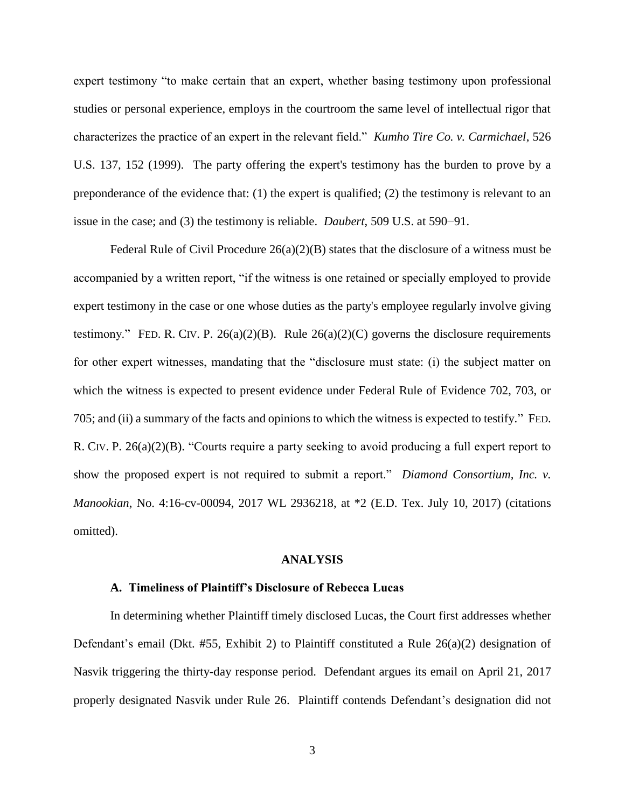expert testimony "to make certain that an expert, whether basing testimony upon professional studies or personal experience, employs in the courtroom the same level of intellectual rigor that characterizes the practice of an expert in the relevant field." *Kumho Tire Co. v. Carmichael*, 526 U.S. 137, 152 (1999). The party offering the expert's testimony has the burden to prove by a preponderance of the evidence that: (1) the expert is qualified; (2) the testimony is relevant to an issue in the case; and (3) the testimony is reliable. *Daubert*, 509 U.S. at 590−91.

Federal Rule of Civil Procedure  $26(a)(2)(B)$  states that the disclosure of a witness must be accompanied by a written report, "if the witness is one retained or specially employed to provide expert testimony in the case or one whose duties as the party's employee regularly involve giving testimony." FED. R. CIV. P. 26(a)(2)(B). Rule 26(a)(2)(C) governs the disclosure requirements for other expert witnesses, mandating that the "disclosure must state: (i) the subject matter on which the witness is expected to present evidence under Federal Rule of Evidence 702, 703, or 705; and (ii) a summary of the facts and opinions to which the witness is expected to testify." FED. R. CIV. P. 26(a)(2)(B). "Courts require a party seeking to avoid producing a full expert report to show the proposed expert is not required to submit a report." *Diamond Consortium, Inc. v. Manookian*, No. 4:16-cv-00094, 2017 WL 2936218, at \*2 (E.D. Tex. July 10, 2017) (citations omitted).

#### **ANALYSIS**

#### **A. Timeliness of Plaintiff's Disclosure of Rebecca Lucas**

In determining whether Plaintiff timely disclosed Lucas, the Court first addresses whether Defendant's email (Dkt. #55, Exhibit 2) to Plaintiff constituted a Rule  $26(a)(2)$  designation of Nasvik triggering the thirty-day response period. Defendant argues its email on April 21, 2017 properly designated Nasvik under Rule 26. Plaintiff contends Defendant's designation did not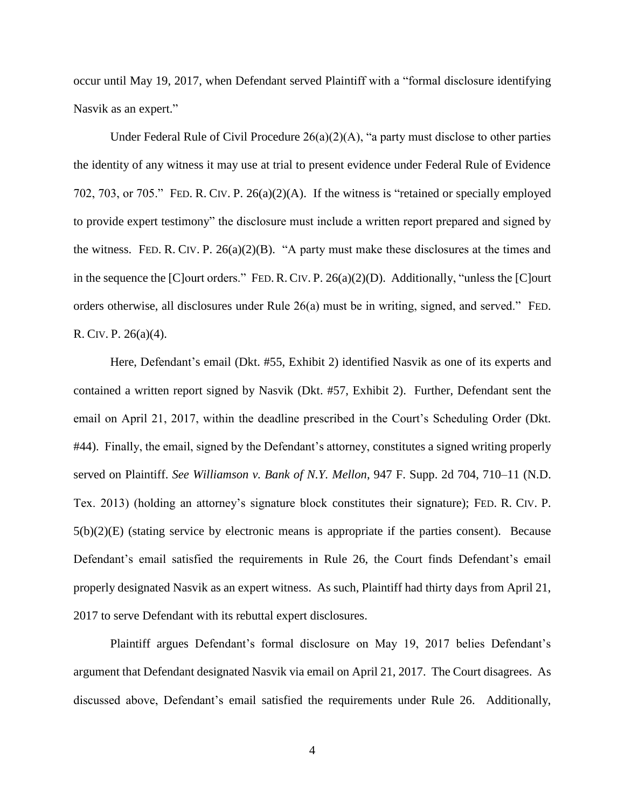occur until May 19, 2017, when Defendant served Plaintiff with a "formal disclosure identifying Nasvik as an expert."

Under Federal Rule of Civil Procedure  $26(a)(2)(A)$ , "a party must disclose to other parties the identity of any witness it may use at trial to present evidence under Federal Rule of Evidence 702, 703, or 705." FED. R. CIV. P. 26(a)(2)(A). If the witness is "retained or specially employed to provide expert testimony" the disclosure must include a written report prepared and signed by the witness. FED. R. CIV. P.  $26(a)(2)(B)$ . "A party must make these disclosures at the times and in the sequence the [C]ourt orders." FED. R. CIV. P. 26(a)(2)(D). Additionally, "unless the [C]ourt orders otherwise, all disclosures under Rule 26(a) must be in writing, signed, and served." FED. R. CIV. P. 26(a)(4).

Here, Defendant's email (Dkt. #55, Exhibit 2) identified Nasvik as one of its experts and contained a written report signed by Nasvik (Dkt. #57, Exhibit 2). Further, Defendant sent the email on April 21, 2017, within the deadline prescribed in the Court's Scheduling Order (Dkt. #44). Finally, the email, signed by the Defendant's attorney, constitutes a signed writing properly served on Plaintiff. *See Williamson v. Bank of N.Y. Mellon*, 947 F. Supp. 2d 704, 710–11 (N.D. Tex. 2013) (holding an attorney's signature block constitutes their signature); FED. R. CIV. P. 5(b)(2)(E) (stating service by electronic means is appropriate if the parties consent). Because Defendant's email satisfied the requirements in Rule 26, the Court finds Defendant's email properly designated Nasvik as an expert witness. As such, Plaintiff had thirty days from April 21, 2017 to serve Defendant with its rebuttal expert disclosures.

Plaintiff argues Defendant's formal disclosure on May 19, 2017 belies Defendant's argument that Defendant designated Nasvik via email on April 21, 2017. The Court disagrees. As discussed above, Defendant's email satisfied the requirements under Rule 26. Additionally,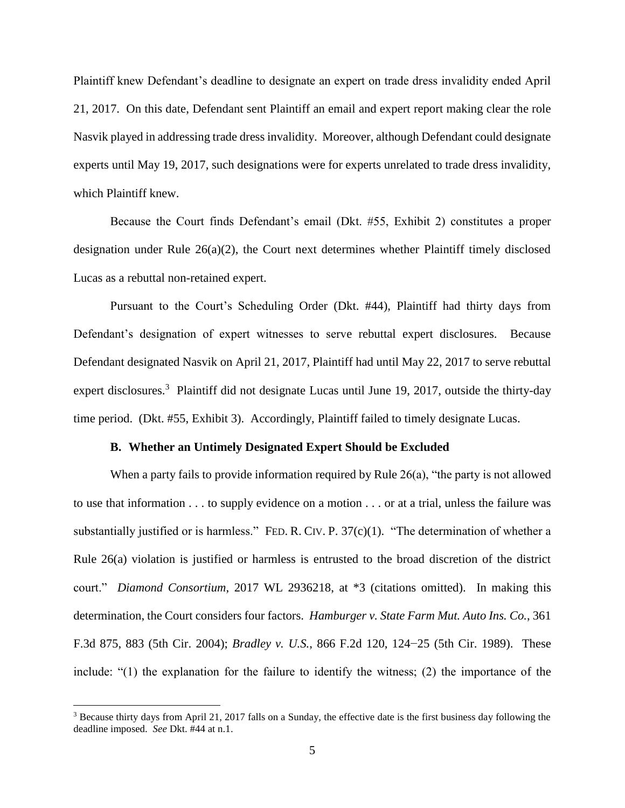Plaintiff knew Defendant's deadline to designate an expert on trade dress invalidity ended April 21, 2017. On this date, Defendant sent Plaintiff an email and expert report making clear the role Nasvik played in addressing trade dress invalidity. Moreover, although Defendant could designate experts until May 19, 2017, such designations were for experts unrelated to trade dress invalidity, which Plaintiff knew.

Because the Court finds Defendant's email (Dkt. #55, Exhibit 2) constitutes a proper designation under Rule 26(a)(2), the Court next determines whether Plaintiff timely disclosed Lucas as a rebuttal non-retained expert.

Pursuant to the Court's Scheduling Order (Dkt. #44), Plaintiff had thirty days from Defendant's designation of expert witnesses to serve rebuttal expert disclosures. Because Defendant designated Nasvik on April 21, 2017, Plaintiff had until May 22, 2017 to serve rebuttal expert disclosures.<sup>3</sup> Plaintiff did not designate Lucas until June 19, 2017, outside the thirty-day time period. (Dkt. #55, Exhibit 3). Accordingly, Plaintiff failed to timely designate Lucas.

# **B. Whether an Untimely Designated Expert Should be Excluded**

When a party fails to provide information required by Rule 26(a), "the party is not allowed to use that information . . . to supply evidence on a motion . . . or at a trial, unless the failure was substantially justified or is harmless." FED. R. CIV. P. 37(c)(1). "The determination of whether a Rule 26(a) violation is justified or harmless is entrusted to the broad discretion of the district court." *Diamond Consortium*, 2017 WL 2936218, at \*3 (citations omitted). In making this determination, the Court considers four factors. *Hamburger v. State Farm Mut. Auto Ins. Co.*, 361 F.3d 875, 883 (5th Cir. 2004); *Bradley v. U.S.*, 866 F.2d 120, 124−25 (5th Cir. 1989). These include: "(1) the explanation for the failure to identify the witness; (2) the importance of the

 $\overline{a}$ 

<sup>&</sup>lt;sup>3</sup> Because thirty days from April 21, 2017 falls on a Sunday, the effective date is the first business day following the deadline imposed. *See* Dkt. #44 at n.1.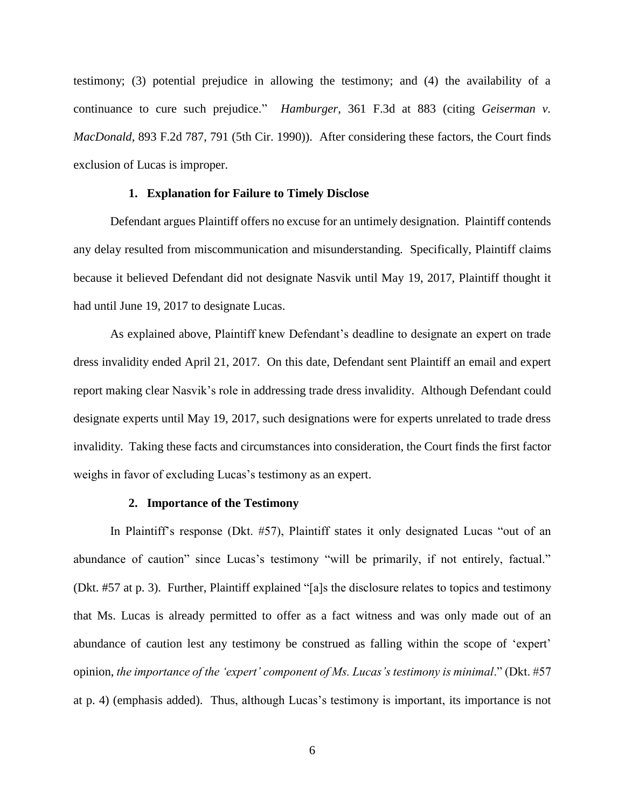testimony; (3) potential prejudice in allowing the testimony; and (4) the availability of a continuance to cure such prejudice." *Hamburger*, 361 F.3d at 883 (citing *Geiserman v. MacDonald*, 893 F.2d 787, 791 (5th Cir. 1990)). After considering these factors, the Court finds exclusion of Lucas is improper.

# **1. Explanation for Failure to Timely Disclose**

Defendant argues Plaintiff offers no excuse for an untimely designation. Plaintiff contends any delay resulted from miscommunication and misunderstanding. Specifically, Plaintiff claims because it believed Defendant did not designate Nasvik until May 19, 2017, Plaintiff thought it had until June 19, 2017 to designate Lucas.

As explained above, Plaintiff knew Defendant's deadline to designate an expert on trade dress invalidity ended April 21, 2017. On this date, Defendant sent Plaintiff an email and expert report making clear Nasvik's role in addressing trade dress invalidity. Although Defendant could designate experts until May 19, 2017, such designations were for experts unrelated to trade dress invalidity. Taking these facts and circumstances into consideration, the Court finds the first factor weighs in favor of excluding Lucas's testimony as an expert.

#### **2. Importance of the Testimony**

In Plaintiff's response (Dkt. #57), Plaintiff states it only designated Lucas "out of an abundance of caution" since Lucas's testimony "will be primarily, if not entirely, factual." (Dkt. #57 at p. 3). Further, Plaintiff explained "[a]s the disclosure relates to topics and testimony that Ms. Lucas is already permitted to offer as a fact witness and was only made out of an abundance of caution lest any testimony be construed as falling within the scope of 'expert' opinion, *the importance of the 'expert' component of Ms. Lucas's testimony is minimal*." (Dkt. #57 at p. 4) (emphasis added). Thus, although Lucas's testimony is important, its importance is not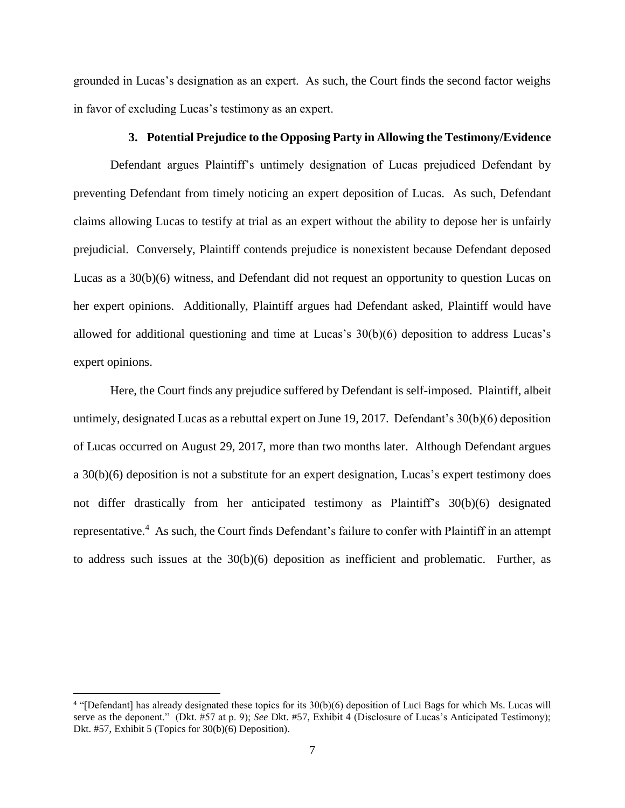grounded in Lucas's designation as an expert. As such, the Court finds the second factor weighs in favor of excluding Lucas's testimony as an expert.

## **3. Potential Prejudice to the Opposing Party in Allowing the Testimony/Evidence**

Defendant argues Plaintiff's untimely designation of Lucas prejudiced Defendant by preventing Defendant from timely noticing an expert deposition of Lucas. As such, Defendant claims allowing Lucas to testify at trial as an expert without the ability to depose her is unfairly prejudicial. Conversely, Plaintiff contends prejudice is nonexistent because Defendant deposed Lucas as a 30(b)(6) witness, and Defendant did not request an opportunity to question Lucas on her expert opinions. Additionally, Plaintiff argues had Defendant asked, Plaintiff would have allowed for additional questioning and time at Lucas's  $30(b)(6)$  deposition to address Lucas's expert opinions.

Here, the Court finds any prejudice suffered by Defendant is self-imposed. Plaintiff, albeit untimely, designated Lucas as a rebuttal expert on June 19, 2017. Defendant's 30(b)(6) deposition of Lucas occurred on August 29, 2017, more than two months later. Although Defendant argues a 30(b)(6) deposition is not a substitute for an expert designation, Lucas's expert testimony does not differ drastically from her anticipated testimony as Plaintiff's 30(b)(6) designated representative.<sup>4</sup> As such, the Court finds Defendant's failure to confer with Plaintiff in an attempt to address such issues at the 30(b)(6) deposition as inefficient and problematic. Further, as

 $\overline{a}$ 

<sup>&</sup>lt;sup>4</sup> "[Defendant] has already designated these topics for its 30(b)(6) deposition of Luci Bags for which Ms. Lucas will serve as the deponent." (Dkt. #57 at p. 9); *See* Dkt. #57, Exhibit 4 (Disclosure of Lucas's Anticipated Testimony); Dkt. #57, Exhibit 5 (Topics for 30(b)(6) Deposition).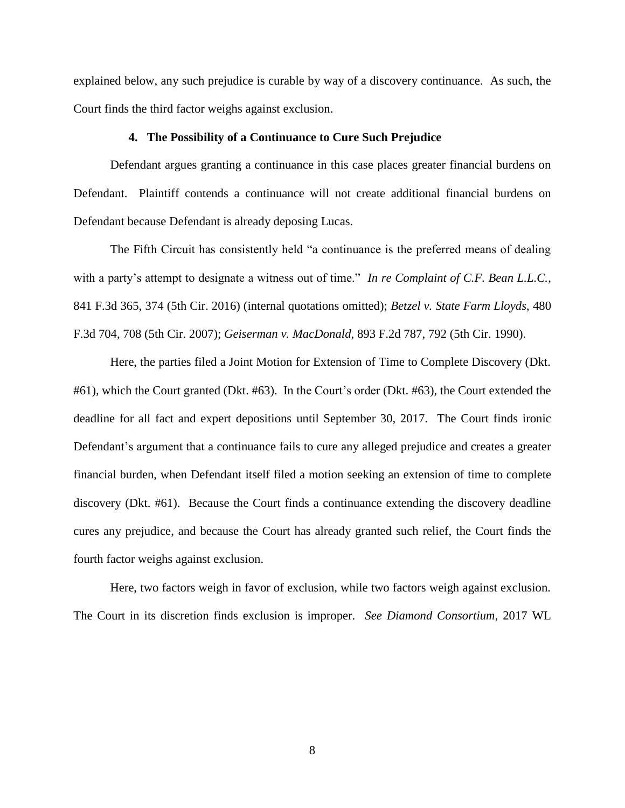explained below, any such prejudice is curable by way of a discovery continuance. As such, the Court finds the third factor weighs against exclusion.

#### **4. The Possibility of a Continuance to Cure Such Prejudice**

Defendant argues granting a continuance in this case places greater financial burdens on Defendant. Plaintiff contends a continuance will not create additional financial burdens on Defendant because Defendant is already deposing Lucas.

The Fifth Circuit has consistently held "a continuance is the preferred means of dealing with a party's attempt to designate a witness out of time." *In re Complaint of C.F. Bean L.L.C.*, 841 F.3d 365, 374 (5th Cir. 2016) (internal quotations omitted); *Betzel v. State Farm Lloyds*, 480 F.3d 704, 708 (5th Cir. 2007); *Geiserman v. MacDonald*, 893 F.2d 787, 792 (5th Cir. 1990).

Here, the parties filed a Joint Motion for Extension of Time to Complete Discovery (Dkt. #61), which the Court granted (Dkt. #63). In the Court's order (Dkt. #63), the Court extended the deadline for all fact and expert depositions until September 30, 2017. The Court finds ironic Defendant's argument that a continuance fails to cure any alleged prejudice and creates a greater financial burden, when Defendant itself filed a motion seeking an extension of time to complete discovery (Dkt. #61). Because the Court finds a continuance extending the discovery deadline cures any prejudice, and because the Court has already granted such relief, the Court finds the fourth factor weighs against exclusion.

Here, two factors weigh in favor of exclusion, while two factors weigh against exclusion. The Court in its discretion finds exclusion is improper. *See Diamond Consortium*, 2017 WL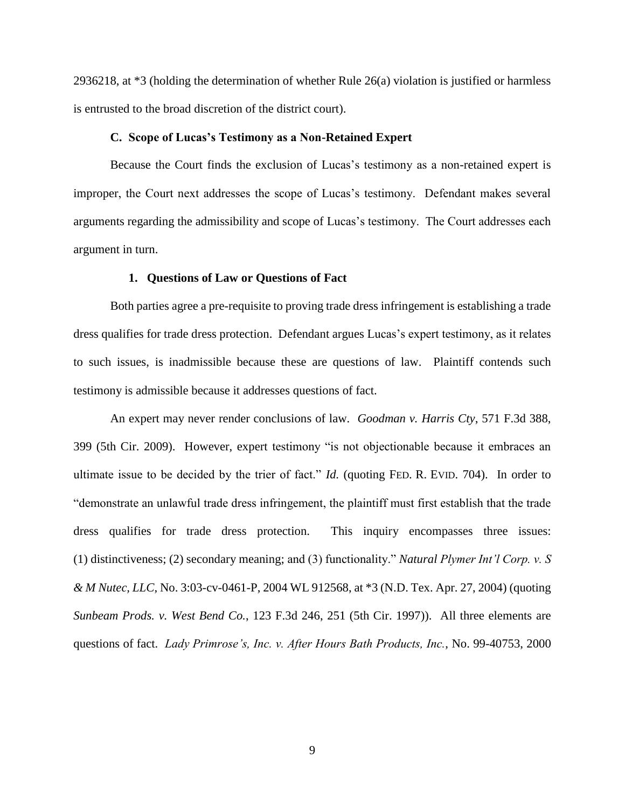2936218, at \*3 (holding the determination of whether Rule 26(a) violation is justified or harmless is entrusted to the broad discretion of the district court).

#### **C. Scope of Lucas's Testimony as a Non-Retained Expert**

Because the Court finds the exclusion of Lucas's testimony as a non-retained expert is improper, the Court next addresses the scope of Lucas's testimony. Defendant makes several arguments regarding the admissibility and scope of Lucas's testimony. The Court addresses each argument in turn.

### **1. Questions of Law or Questions of Fact**

Both parties agree a pre-requisite to proving trade dress infringement is establishing a trade dress qualifies for trade dress protection. Defendant argues Lucas's expert testimony, as it relates to such issues, is inadmissible because these are questions of law. Plaintiff contends such testimony is admissible because it addresses questions of fact.

An expert may never render conclusions of law. *Goodman v. Harris Cty*, 571 F.3d 388, 399 (5th Cir. 2009). However, expert testimony "is not objectionable because it embraces an ultimate issue to be decided by the trier of fact." *Id.* (quoting FED. R. EVID. 704). In order to "demonstrate an unlawful trade dress infringement, the plaintiff must first establish that the trade dress qualifies for trade dress protection. This inquiry encompasses three issues: (1) distinctiveness; (2) secondary meaning; and (3) functionality." *Natural Plymer Int'l Corp. v. S & M Nutec, LLC*, No. 3:03-cv-0461-P, 2004 WL 912568, at \*3 (N.D. Tex. Apr. 27, 2004) (quoting *Sunbeam Prods. v. West Bend Co.*, 123 F.3d 246, 251 (5th Cir. 1997)). All three elements are questions of fact. *Lady Primrose's, Inc. v. After Hours Bath Products, Inc.*, No. 99-40753, 2000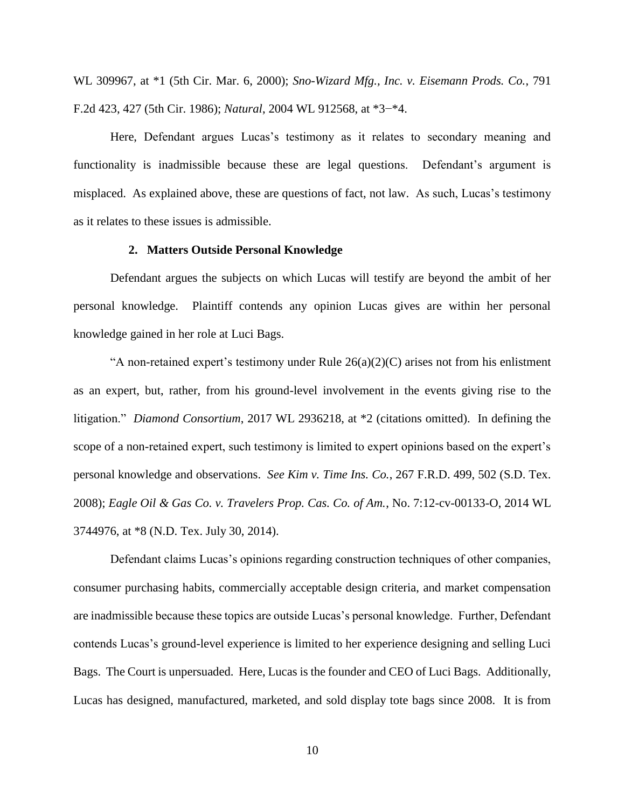WL 309967, at \*1 (5th Cir. Mar. 6, 2000); *Sno-Wizard Mfg., Inc. v. Eisemann Prods. Co.*, 791 F.2d 423, 427 (5th Cir. 1986); *Natural*, 2004 WL 912568, at \*3−\*4.

Here, Defendant argues Lucas's testimony as it relates to secondary meaning and functionality is inadmissible because these are legal questions. Defendant's argument is misplaced. As explained above, these are questions of fact, not law. As such, Lucas's testimony as it relates to these issues is admissible.

#### **2. Matters Outside Personal Knowledge**

Defendant argues the subjects on which Lucas will testify are beyond the ambit of her personal knowledge. Plaintiff contends any opinion Lucas gives are within her personal knowledge gained in her role at Luci Bags.

"A non-retained expert's testimony under Rule  $26(a)(2)(C)$  arises not from his enlistment as an expert, but, rather, from his ground-level involvement in the events giving rise to the litigation." *Diamond Consortium*, 2017 WL 2936218, at \*2 (citations omitted). In defining the scope of a non-retained expert, such testimony is limited to expert opinions based on the expert's personal knowledge and observations. *See Kim v. Time Ins. Co.*, 267 F.R.D. 499, 502 (S.D. Tex. 2008); *Eagle Oil & Gas Co. v. Travelers Prop. Cas. Co. of Am.*, No. 7:12-cv-00133-O, 2014 WL 3744976, at \*8 (N.D. Tex. July 30, 2014).

Defendant claims Lucas's opinions regarding construction techniques of other companies, consumer purchasing habits, commercially acceptable design criteria, and market compensation are inadmissible because these topics are outside Lucas's personal knowledge. Further, Defendant contends Lucas's ground-level experience is limited to her experience designing and selling Luci Bags. The Court is unpersuaded. Here, Lucas is the founder and CEO of Luci Bags. Additionally, Lucas has designed, manufactured, marketed, and sold display tote bags since 2008. It is from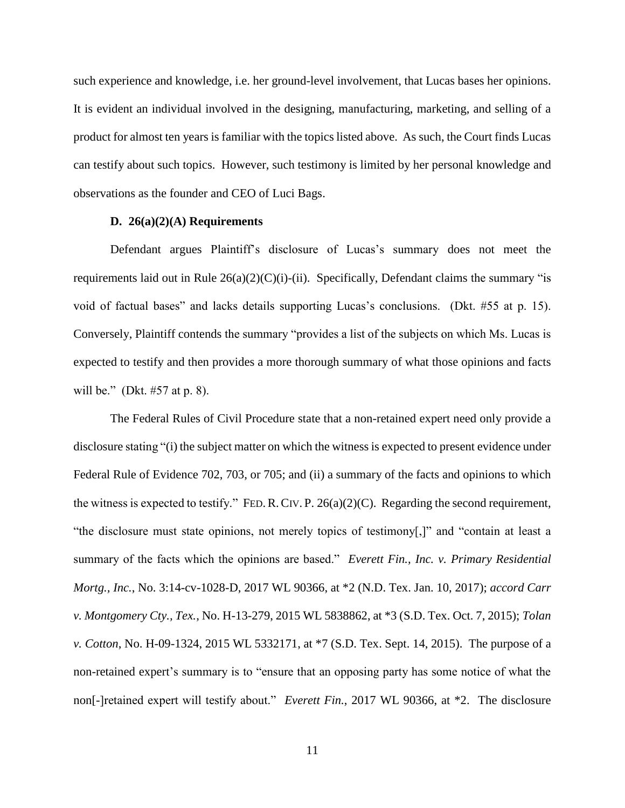such experience and knowledge, i.e. her ground-level involvement, that Lucas bases her opinions. It is evident an individual involved in the designing, manufacturing, marketing, and selling of a product for almost ten years is familiar with the topics listed above. As such, the Court finds Lucas can testify about such topics. However, such testimony is limited by her personal knowledge and observations as the founder and CEO of Luci Bags.

# **D. 26(a)(2)(A) Requirements**

Defendant argues Plaintiff's disclosure of Lucas's summary does not meet the requirements laid out in Rule  $26(a)(2)(C)(i)$ -(ii). Specifically, Defendant claims the summary "is void of factual bases" and lacks details supporting Lucas's conclusions. (Dkt. #55 at p. 15). Conversely, Plaintiff contends the summary "provides a list of the subjects on which Ms. Lucas is expected to testify and then provides a more thorough summary of what those opinions and facts will be." (Dkt. #57 at p. 8).

The Federal Rules of Civil Procedure state that a non-retained expert need only provide a disclosure stating "(i) the subject matter on which the witness is expected to present evidence under Federal Rule of Evidence 702, 703, or 705; and (ii) a summary of the facts and opinions to which the witness is expected to testify." FED.R.CIV. P. 26(a)(2)(C). Regarding the second requirement, "the disclosure must state opinions, not merely topics of testimony[,]" and "contain at least a summary of the facts which the opinions are based." *Everett Fin., Inc. v. Primary Residential Mortg., Inc.*, No. 3:14-cv-1028-D, 2017 WL 90366, at \*2 (N.D. Tex. Jan. 10, 2017); *accord Carr v. Montgomery Cty., Tex.*, No. H-13-279, 2015 WL 5838862, at \*3 (S.D. Tex. Oct. 7, 2015); *Tolan v. Cotton*, No. H-09-1324, 2015 WL 5332171, at \*7 (S.D. Tex. Sept. 14, 2015). The purpose of a non-retained expert's summary is to "ensure that an opposing party has some notice of what the non[-]retained expert will testify about." *Everett Fin.*, 2017 WL 90366, at \*2. The disclosure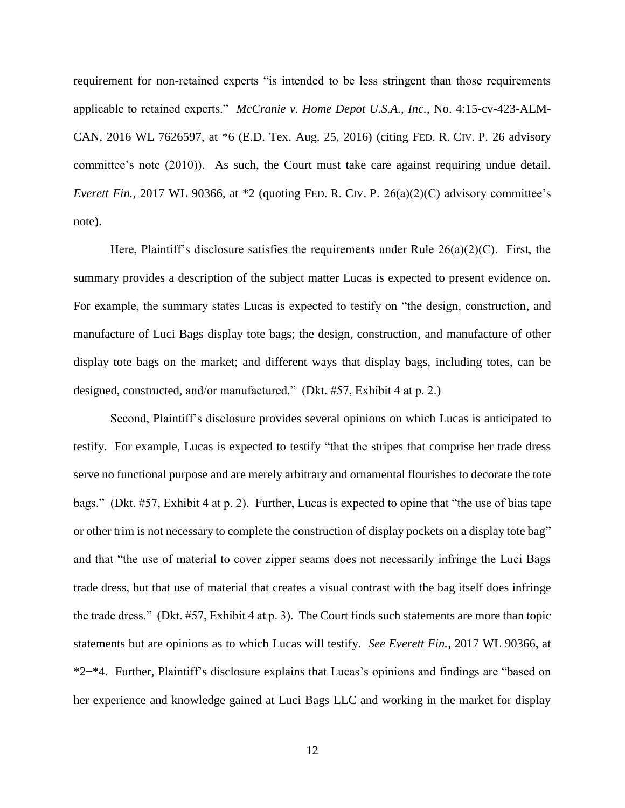requirement for non-retained experts "is intended to be less stringent than those requirements applicable to retained experts." *McCranie v. Home Depot U.S.A., Inc.*, No. 4:15-cv-423-ALM-CAN, 2016 WL 7626597, at \*6 (E.D. Tex. Aug. 25, 2016) (citing FED. R. CIV. P. 26 advisory committee's note (2010)). As such, the Court must take care against requiring undue detail. *Everett Fin.*, 2017 WL 90366, at \*2 (quoting FED. R. CIV. P. 26(a)(2)(C) advisory committee's note).

Here, Plaintiff's disclosure satisfies the requirements under Rule  $26(a)(2)(C)$ . First, the summary provides a description of the subject matter Lucas is expected to present evidence on. For example, the summary states Lucas is expected to testify on "the design, construction, and manufacture of Luci Bags display tote bags; the design, construction, and manufacture of other display tote bags on the market; and different ways that display bags, including totes, can be designed, constructed, and/or manufactured." (Dkt. #57, Exhibit 4 at p. 2.)

Second, Plaintiff's disclosure provides several opinions on which Lucas is anticipated to testify. For example, Lucas is expected to testify "that the stripes that comprise her trade dress serve no functional purpose and are merely arbitrary and ornamental flourishes to decorate the tote bags." (Dkt. #57, Exhibit 4 at p. 2). Further, Lucas is expected to opine that "the use of bias tape or other trim is not necessary to complete the construction of display pockets on a display tote bag" and that "the use of material to cover zipper seams does not necessarily infringe the Luci Bags trade dress, but that use of material that creates a visual contrast with the bag itself does infringe the trade dress." (Dkt. #57, Exhibit 4 at p. 3). The Court finds such statements are more than topic statements but are opinions as to which Lucas will testify. *See Everett Fin.*, 2017 WL 90366, at \*2−\*4. Further, Plaintiff's disclosure explains that Lucas's opinions and findings are "based on her experience and knowledge gained at Luci Bags LLC and working in the market for display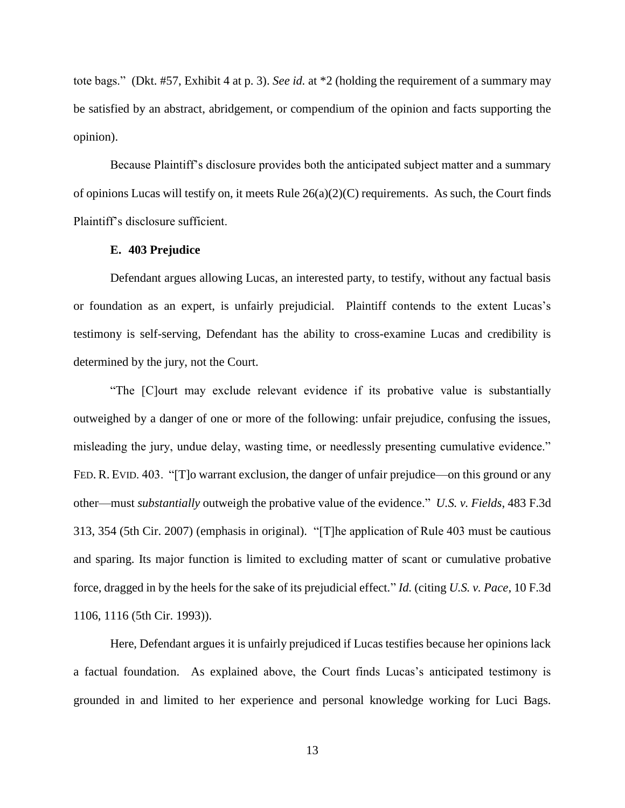tote bags." (Dkt. #57, Exhibit 4 at p. 3). *See id.* at \*2 (holding the requirement of a summary may be satisfied by an abstract, abridgement, or compendium of the opinion and facts supporting the opinion).

Because Plaintiff's disclosure provides both the anticipated subject matter and a summary of opinions Lucas will testify on, it meets Rule  $26(a)(2)(C)$  requirements. As such, the Court finds Plaintiff's disclosure sufficient.

## **E. 403 Prejudice**

Defendant argues allowing Lucas, an interested party, to testify, without any factual basis or foundation as an expert, is unfairly prejudicial. Plaintiff contends to the extent Lucas's testimony is self-serving, Defendant has the ability to cross-examine Lucas and credibility is determined by the jury, not the Court.

"The [C]ourt may exclude relevant evidence if its probative value is substantially outweighed by a danger of one or more of the following: unfair prejudice, confusing the issues, misleading the jury, undue delay, wasting time, or needlessly presenting cumulative evidence." FED. R. EVID. 403. "[T]o warrant exclusion, the danger of unfair prejudice—on this ground or any other—must *substantially* outweigh the probative value of the evidence." *U.S. v. Fields*, 483 F.3d 313, 354 (5th Cir. 2007) (emphasis in original). "[T]he application of Rule 403 must be cautious and sparing. Its major function is limited to excluding matter of scant or cumulative probative force, dragged in by the heels for the sake of its prejudicial effect." *Id.* (citing *U.S. v. Pace*, 10 F.3d 1106, 1116 (5th Cir. 1993)).

Here, Defendant argues it is unfairly prejudiced if Lucas testifies because her opinions lack a factual foundation. As explained above, the Court finds Lucas's anticipated testimony is grounded in and limited to her experience and personal knowledge working for Luci Bags.